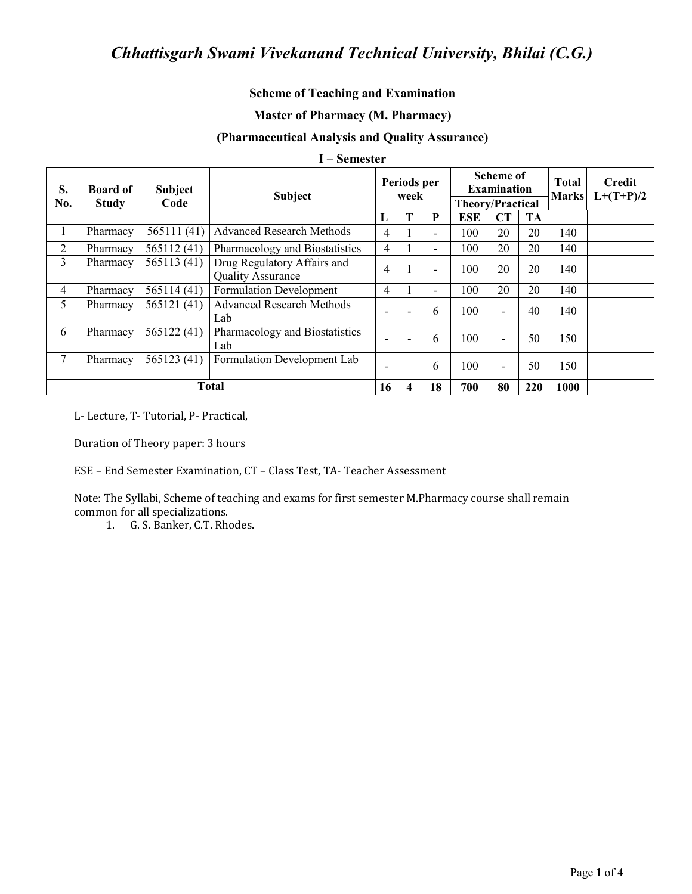## **Scheme of Teaching and Examination**

### **Master of Pharmacy (M. Pharmacy)**

### (Pharmaceutical Analysis and Quality Assurance)

#### I – Semester

| S.<br>No.      | <b>Board of</b><br><b>Study</b> | <b>Subject</b><br>Code | <b>Subject</b>                                          |   | Periods per<br>week |    |            | <b>Scheme of</b><br><b>Examination</b><br><b>Theory/Practical</b> |     |      | <b>Credit</b><br>$L+(T+P)/2$ |
|----------------|---------------------------------|------------------------|---------------------------------------------------------|---|---------------------|----|------------|-------------------------------------------------------------------|-----|------|------------------------------|
|                |                                 |                        |                                                         | L |                     | P  | <b>ESE</b> | CT                                                                | TA  |      |                              |
|                | Pharmacy                        | 565111(41)             | <b>Advanced Research Methods</b>                        | 4 |                     | Ξ. | 100        | 20                                                                | 20  | 140  |                              |
| $\overline{2}$ | Pharmacy                        | 565112 (41)            | Pharmacology and Biostatistics                          | 4 |                     | Ξ. | 100        | 20                                                                | 20  | 140  |                              |
| 3              | Pharmacy                        | 565113 (41)            | Drug Regulatory Affairs and<br><b>Quality Assurance</b> | 4 |                     | Ξ. | 100        | 20                                                                | 20  | 140  |                              |
| 4              | Pharmacy                        | 565114 (41)            | <b>Formulation Development</b>                          | 4 |                     | Ξ. | 100        | 20                                                                | 20  | 140  |                              |
| 5              | Pharmacy                        | 565121(41)             | <b>Advanced Research Methods</b><br>Lab                 |   |                     | 6  | 100        | $\blacksquare$                                                    | 40  | 140  |                              |
| 6              | Pharmacy                        | 565122(41)             | Pharmacology and Biostatistics<br>Lab                   |   |                     | 6  | 100        | $\blacksquare$                                                    | 50  | 150  |                              |
| 7              | Pharmacy                        | 565123 (41)            | Formulation Development Lab                             |   |                     | 6  | 100        | $\overline{\phantom{0}}$                                          | 50  | 150  |                              |
| <b>Total</b>   |                                 |                        |                                                         |   |                     | 18 | 700        | 80                                                                | 220 | 1000 |                              |

L- Lecture, T- Tutorial, P- Practical,

Duration of Theory paper: 3 hours

ESE - End Semester Examination, CT - Class Test, TA- Teacher Assessment

Note: The Syllabi, Scheme of teaching and exams for first semester M.Pharmacy course shall remain common for all specializations.

1. G. S. Banker, C.T. Rhodes.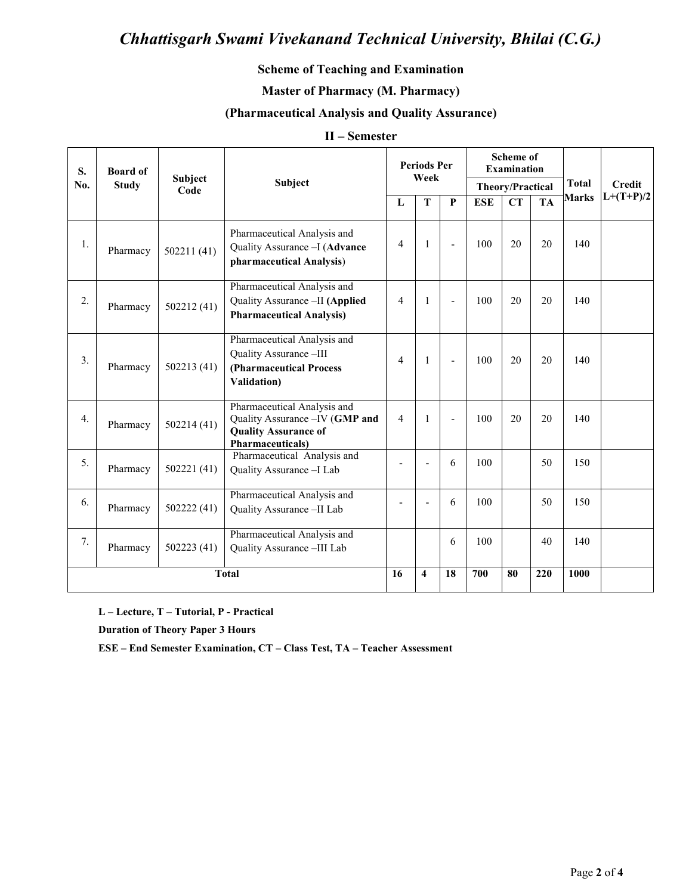## **Scheme of Teaching and Examination**

## **Master of Pharmacy (M. Pharmacy)**

### (Pharmaceutical Analysis and Quality Assurance)

#### II - Semester

| S.               | <b>Board of</b> | Subject<br>Code | <b>Subject</b>                                                                                                            | <b>Periods Per</b><br>Week |                         |                | <b>Scheme of</b><br><b>Examination</b> |    |           | <b>Total</b> | <b>Credit</b> |
|------------------|-----------------|-----------------|---------------------------------------------------------------------------------------------------------------------------|----------------------------|-------------------------|----------------|----------------------------------------|----|-----------|--------------|---------------|
| No.              | <b>Study</b>    |                 |                                                                                                                           |                            |                         |                | <b>Theory/Practical</b>                |    |           |              |               |
|                  |                 |                 |                                                                                                                           | $\mathbf{L}$               | T                       | P              | <b>ESE</b>                             | CT | <b>TA</b> | <b>Marks</b> | $L+(T+P)/2$   |
| 1.               | Pharmacy        | 502211(41)      | Pharmaceutical Analysis and<br>Quality Assurance - I (Advance<br>pharmaceutical Analysis)                                 | $\overline{4}$             | $\mathbf{1}$            | $\blacksquare$ | 100                                    | 20 | 20        | 140          |               |
| 2.               | Pharmacy        | 502212(41)      | Pharmaceutical Analysis and<br>Quality Assurance - II (Applied<br><b>Pharmaceutical Analysis)</b>                         | $\overline{4}$             | $\mathbf{1}$            |                | 100                                    | 20 | 20        | 140          |               |
| 3.               | Pharmacy        | 502213 (41)     | Pharmaceutical Analysis and<br>Quality Assurance-III<br>(Pharmaceutical Process<br>Validation)                            | $\overline{4}$             | $\mathbf{1}$            |                | 100                                    | 20 | 20        | 140          |               |
| $\overline{4}$ . | Pharmacy        | 502214(41)      | Pharmaceutical Analysis and<br>Quality Assurance - IV (GMP and<br><b>Quality Assurance of</b><br><b>Pharmaceuticals</b> ) | $\overline{4}$             | $\mathbf{1}$            |                | 100                                    | 20 | 20        | 140          |               |
| 5.               | Pharmacy        | 502221(41)      | Pharmaceutical Analysis and<br>Quality Assurance - I Lab                                                                  |                            | ۳                       | 6              | 100                                    |    | 50        | 150          |               |
| 6.               | Pharmacy        | 502222 (41)     | Pharmaceutical Analysis and<br>Quality Assurance - II Lab                                                                 |                            |                         | 6              | 100                                    |    | 50        | 150          |               |
| 7.               | Pharmacy        | 502223(41)      | Pharmaceutical Analysis and<br>Quality Assurance -III Lab                                                                 |                            |                         | 6              | 100                                    |    | 40        | 140          |               |
|                  | <b>Total</b>    |                 |                                                                                                                           |                            | $\overline{\mathbf{4}}$ | 18             | 700                                    | 80 | 220       | 1000         |               |

L - Lecture, T - Tutorial, P - Practical

**Duration of Theory Paper 3 Hours** 

ESE - End Semester Examination, CT - Class Test, TA - Teacher Assessment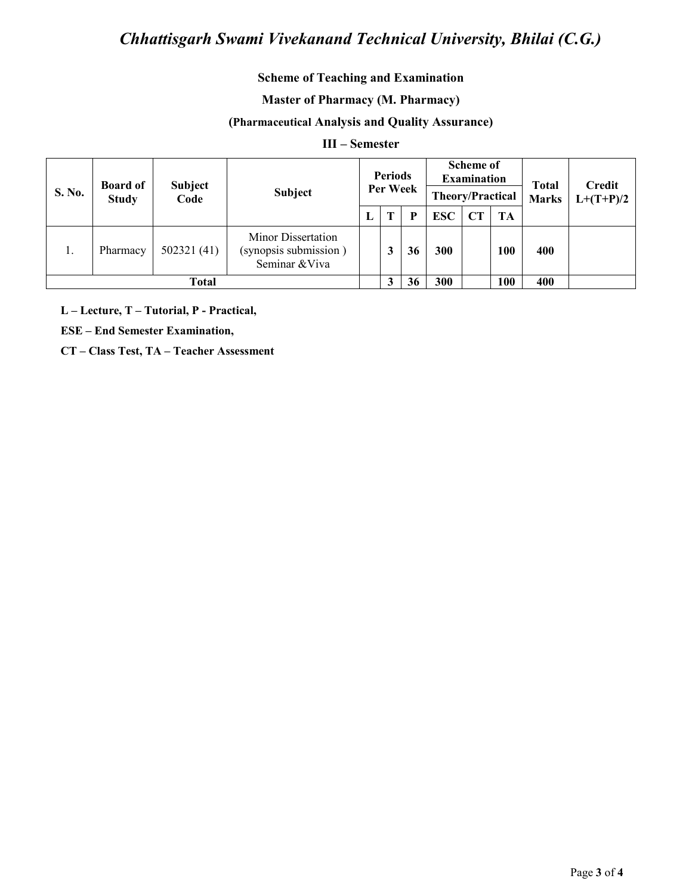## **Scheme of Teaching and Examination**

### **Master of Pharmacy (M. Pharmacy)**

## (Pharmaceutical Analysis and Quality Assurance)

### $III - Semester$

| S. No. | <b>Board of</b><br><b>Study</b> | <b>Subject</b><br>Code | Subject                                                       | <b>Periods</b><br>Per Week |   |    | <b>Scheme of</b><br><b>Examination</b><br><b>Theory/Practical</b> |    |           | <b>Total</b><br><b>Marks</b> | Credit<br>$L+(T+P)/2$ |
|--------|---------------------------------|------------------------|---------------------------------------------------------------|----------------------------|---|----|-------------------------------------------------------------------|----|-----------|------------------------------|-----------------------|
|        |                                 |                        |                                                               |                            |   | P  | <b>ESC</b>                                                        | CT | <b>TA</b> |                              |                       |
| 1.     | Pharmacy                        | 502321(41)             | Minor Dissertation<br>(synopsis submission)<br>Seminar & Viva |                            | 3 | 36 | 300                                                               |    | 100       | 400                          |                       |
|        | <b>Total</b>                    |                        |                                                               |                            |   | 36 | 300                                                               |    | 100       | 400                          |                       |

L - Lecture, T - Tutorial, P - Practical,

**ESE - End Semester Examination,** 

CT - Class Test, TA - Teacher Assessment